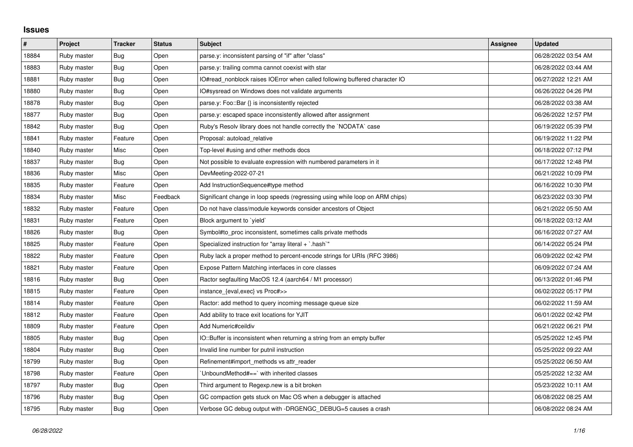## **Issues**

| $\#$  | Project     | <b>Tracker</b> | <b>Status</b> | <b>Subject</b>                                                               | Assignee | <b>Updated</b>      |
|-------|-------------|----------------|---------------|------------------------------------------------------------------------------|----------|---------------------|
| 18884 | Ruby master | Bug            | Open          | parse.y: inconsistent parsing of "if" after "class"                          |          | 06/28/2022 03:54 AM |
| 18883 | Ruby master | <b>Bug</b>     | Open          | parse.y: trailing comma cannot coexist with star                             |          | 06/28/2022 03:44 AM |
| 18881 | Ruby master | Bug            | Open          | IO#read_nonblock raises IOError when called following buffered character IO  |          | 06/27/2022 12:21 AM |
| 18880 | Ruby master | <b>Bug</b>     | Open          | IO#sysread on Windows does not validate arguments                            |          | 06/26/2022 04:26 PM |
| 18878 | Ruby master | Bug            | Open          | parse.y: Foo::Bar {} is inconsistently rejected                              |          | 06/28/2022 03:38 AM |
| 18877 | Ruby master | Bug            | Open          | parse y: escaped space inconsistently allowed after assignment               |          | 06/26/2022 12:57 PM |
| 18842 | Ruby master | Bug            | Open          | Ruby's Resolv library does not handle correctly the `NODATA` case            |          | 06/19/2022 05:39 PM |
| 18841 | Ruby master | Feature        | Open          | Proposal: autoload relative                                                  |          | 06/19/2022 11:22 PM |
| 18840 | Ruby master | Misc           | Open          | Top-level #using and other methods docs                                      |          | 06/18/2022 07:12 PM |
| 18837 | Ruby master | Bug            | Open          | Not possible to evaluate expression with numbered parameters in it           |          | 06/17/2022 12:48 PM |
| 18836 | Ruby master | Misc           | Open          | DevMeeting-2022-07-21                                                        |          | 06/21/2022 10:09 PM |
| 18835 | Ruby master | Feature        | Open          | Add InstructionSequence#type method                                          |          | 06/16/2022 10:30 PM |
| 18834 | Ruby master | Misc           | Feedback      | Significant change in loop speeds (regressing using while loop on ARM chips) |          | 06/23/2022 03:30 PM |
| 18832 | Ruby master | Feature        | Open          | Do not have class/module keywords consider ancestors of Object               |          | 06/21/2022 05:50 AM |
| 18831 | Ruby master | Feature        | Open          | Block argument to 'yield'                                                    |          | 06/18/2022 03:12 AM |
| 18826 | Ruby master | Bug            | Open          | Symbol#to proc inconsistent, sometimes calls private methods                 |          | 06/16/2022 07:27 AM |
| 18825 | Ruby master | Feature        | Open          | Specialized instruction for "array literal + `.hash`"                        |          | 06/14/2022 05:24 PM |
| 18822 | Ruby master | Feature        | Open          | Ruby lack a proper method to percent-encode strings for URIs (RFC 3986)      |          | 06/09/2022 02:42 PM |
| 18821 | Ruby master | Feature        | Open          | Expose Pattern Matching interfaces in core classes                           |          | 06/09/2022 07:24 AM |
| 18816 | Ruby master | Bug            | Open          | Ractor segfaulting MacOS 12.4 (aarch64 / M1 processor)                       |          | 06/13/2022 01:46 PM |
| 18815 | Ruby master | Feature        | Open          | instance_{eval,exec} vs Proc#>>                                              |          | 06/02/2022 05:17 PM |
| 18814 | Ruby master | Feature        | Open          | Ractor: add method to query incoming message queue size                      |          | 06/02/2022 11:59 AM |
| 18812 | Ruby master | Feature        | Open          | Add ability to trace exit locations for YJIT                                 |          | 06/01/2022 02:42 PM |
| 18809 | Ruby master | Feature        | Open          | Add Numeric#ceildiv                                                          |          | 06/21/2022 06:21 PM |
| 18805 | Ruby master | Bug            | Open          | IO::Buffer is inconsistent when returning a string from an empty buffer      |          | 05/25/2022 12:45 PM |
| 18804 | Ruby master | Bug            | Open          | Invalid line number for putnil instruction                                   |          | 05/25/2022 09:22 AM |
| 18799 | Ruby master | Bug            | Open          | Refinement#import_methods vs attr_reader                                     |          | 05/25/2022 06:50 AM |
| 18798 | Ruby master | Feature        | Open          | 'UnboundMethod#==' with inherited classes                                    |          | 05/25/2022 12:32 AM |
| 18797 | Ruby master | Bug            | Open          | Third argument to Regexp.new is a bit broken                                 |          | 05/23/2022 10:11 AM |
| 18796 | Ruby master | <b>Bug</b>     | Open          | GC compaction gets stuck on Mac OS when a debugger is attached               |          | 06/08/2022 08:25 AM |
| 18795 | Ruby master | <b>Bug</b>     | Open          | Verbose GC debug output with -DRGENGC DEBUG=5 causes a crash                 |          | 06/08/2022 08:24 AM |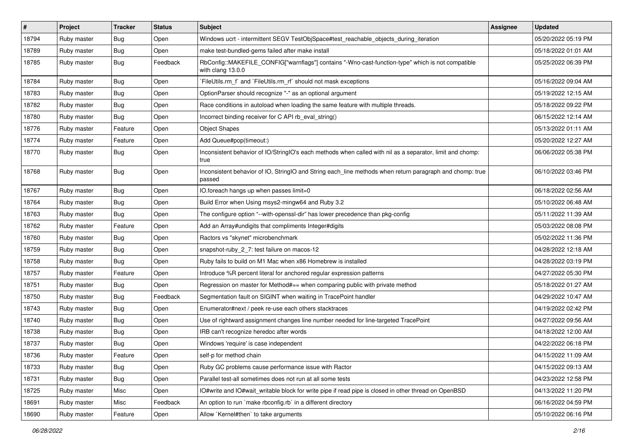| #     | Project     | <b>Tracker</b> | <b>Status</b> | Subject                                                                                                                | <b>Assignee</b> | <b>Updated</b>      |
|-------|-------------|----------------|---------------|------------------------------------------------------------------------------------------------------------------------|-----------------|---------------------|
| 18794 | Ruby master | Bug            | Open          | Windows ucrt - intermittent SEGV TestObjSpace#test_reachable_objects_during_iteration                                  |                 | 05/20/2022 05:19 PM |
| 18789 | Ruby master | <b>Bug</b>     | Open          | make test-bundled-gems failed after make install                                                                       |                 | 05/18/2022 01:01 AM |
| 18785 | Ruby master | <b>Bug</b>     | Feedback      | RbConfig::MAKEFILE_CONFIG["warnflags"] contains "-Wno-cast-function-type" which is not compatible<br>with clang 13.0.0 |                 | 05/25/2022 06:39 PM |
| 18784 | Ruby master | Bug            | Open          | FileUtils.rm_f` and `FileUtils.rm_rf` should not mask exceptions`                                                      |                 | 05/16/2022 09:04 AM |
| 18783 | Ruby master | <b>Bug</b>     | Open          | OptionParser should recognize "-" as an optional argument                                                              |                 | 05/19/2022 12:15 AM |
| 18782 | Ruby master | <b>Bug</b>     | Open          | Race conditions in autoload when loading the same feature with multiple threads.                                       |                 | 05/18/2022 09:22 PM |
| 18780 | Ruby master | <b>Bug</b>     | Open          | Incorrect binding receiver for C API rb_eval_string()                                                                  |                 | 06/15/2022 12:14 AM |
| 18776 | Ruby master | Feature        | Open          | <b>Object Shapes</b>                                                                                                   |                 | 05/13/2022 01:11 AM |
| 18774 | Ruby master | Feature        | Open          | Add Queue#pop(timeout:)                                                                                                |                 | 05/20/2022 12:27 AM |
| 18770 | Ruby master | Bug            | Open          | Inconsistent behavior of IO/StringIO's each methods when called with nil as a separator, limit and chomp:<br>true      |                 | 06/06/2022 05:38 PM |
| 18768 | Ruby master | Bug            | Open          | Inconsistent behavior of IO, StringIO and String each_line methods when return paragraph and chomp: true<br>passed     |                 | 06/10/2022 03:46 PM |
| 18767 | Ruby master | <b>Bug</b>     | Open          | IO.foreach hangs up when passes limit=0                                                                                |                 | 06/18/2022 02:56 AM |
| 18764 | Ruby master | <b>Bug</b>     | Open          | Build Error when Using msys2-mingw64 and Ruby 3.2                                                                      |                 | 05/10/2022 06:48 AM |
| 18763 | Ruby master | <b>Bug</b>     | Open          | The configure option "--with-openssl-dir" has lower precedence than pkg-config                                         |                 | 05/11/2022 11:39 AM |
| 18762 | Ruby master | Feature        | Open          | Add an Array#undigits that compliments Integer#digits                                                                  |                 | 05/03/2022 08:08 PM |
| 18760 | Ruby master | <b>Bug</b>     | Open          | Ractors vs "skynet" microbenchmark                                                                                     |                 | 05/02/2022 11:36 PM |
| 18759 | Ruby master | <b>Bug</b>     | Open          | snapshot-ruby_2_7: test failure on macos-12                                                                            |                 | 04/28/2022 12:18 AM |
| 18758 | Ruby master | Bug            | Open          | Ruby fails to build on M1 Mac when x86 Homebrew is installed                                                           |                 | 04/28/2022 03:19 PM |
| 18757 | Ruby master | Feature        | Open          | Introduce %R percent literal for anchored regular expression patterns                                                  |                 | 04/27/2022 05:30 PM |
| 18751 | Ruby master | <b>Bug</b>     | Open          | Regression on master for Method#== when comparing public with private method                                           |                 | 05/18/2022 01:27 AM |
| 18750 | Ruby master | <b>Bug</b>     | Feedback      | Segmentation fault on SIGINT when waiting in TracePoint handler                                                        |                 | 04/29/2022 10:47 AM |
| 18743 | Ruby master | <b>Bug</b>     | Open          | Enumerator#next / peek re-use each others stacktraces                                                                  |                 | 04/19/2022 02:42 PM |
| 18740 | Ruby master | <b>Bug</b>     | Open          | Use of rightward assignment changes line number needed for line-targeted TracePoint                                    |                 | 04/27/2022 09:56 AM |
| 18738 | Ruby master | <b>Bug</b>     | Open          | IRB can't recognize heredoc after words                                                                                |                 | 04/18/2022 12:00 AM |
| 18737 | Ruby master | <b>Bug</b>     | Open          | Windows 'require' is case independent                                                                                  |                 | 04/22/2022 06:18 PM |
| 18736 | Ruby master | Feature        | Open          | self-p for method chain                                                                                                |                 | 04/15/2022 11:09 AM |
| 18733 | Ruby master | Bug            | Open          | Ruby GC problems cause performance issue with Ractor                                                                   |                 | 04/15/2022 09:13 AM |
| 18731 | Ruby master | Bug            | Open          | Parallel test-all sometimes does not run at all some tests                                                             |                 | 04/23/2022 12:58 PM |
| 18725 | Ruby master | Misc           | Open          | IO#write and IO#wait_writable block for write pipe if read pipe is closed in other thread on OpenBSD                   |                 | 04/13/2022 11:20 PM |
| 18691 | Ruby master | Misc           | Feedback      | An option to run `make rbconfig.rb` in a different directory                                                           |                 | 06/16/2022 04:59 PM |
| 18690 | Ruby master | Feature        | Open          | Allow `Kernel#then` to take arguments                                                                                  |                 | 05/10/2022 06:16 PM |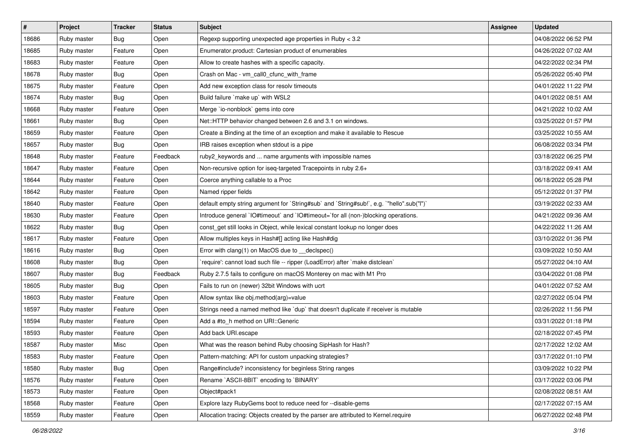| $\vert$ # | Project     | <b>Tracker</b> | <b>Status</b> | <b>Subject</b>                                                                            | <b>Assignee</b> | <b>Updated</b>      |
|-----------|-------------|----------------|---------------|-------------------------------------------------------------------------------------------|-----------------|---------------------|
| 18686     | Ruby master | Bug            | Open          | Regexp supporting unexpected age properties in Ruby < 3.2                                 |                 | 04/08/2022 06:52 PM |
| 18685     | Ruby master | Feature        | Open          | Enumerator.product: Cartesian product of enumerables                                      |                 | 04/26/2022 07:02 AM |
| 18683     | Ruby master | Feature        | Open          | Allow to create hashes with a specific capacity.                                          |                 | 04/22/2022 02:34 PM |
| 18678     | Ruby master | Bug            | Open          | Crash on Mac - vm_call0_cfunc_with_frame                                                  |                 | 05/26/2022 05:40 PM |
| 18675     | Ruby master | Feature        | Open          | Add new exception class for resolv timeouts                                               |                 | 04/01/2022 11:22 PM |
| 18674     | Ruby master | Bug            | Open          | Build failure `make up` with WSL2                                                         |                 | 04/01/2022 08:51 AM |
| 18668     | Ruby master | Feature        | Open          | Merge `io-nonblock` gems into core                                                        |                 | 04/21/2022 10:02 AM |
| 18661     | Ruby master | Bug            | Open          | Net::HTTP behavior changed between 2.6 and 3.1 on windows.                                |                 | 03/25/2022 01:57 PM |
| 18659     | Ruby master | Feature        | Open          | Create a Binding at the time of an exception and make it available to Rescue              |                 | 03/25/2022 10:55 AM |
| 18657     | Ruby master | Bug            | Open          | IRB raises exception when stdout is a pipe                                                |                 | 06/08/2022 03:34 PM |
| 18648     | Ruby master | Feature        | Feedback      | ruby2_keywords and  name arguments with impossible names                                  |                 | 03/18/2022 06:25 PM |
| 18647     | Ruby master | Feature        | Open          | Non-recursive option for iseq-targeted Tracepoints in ruby 2.6+                           |                 | 03/18/2022 09:41 AM |
| 18644     | Ruby master | Feature        | Open          | Coerce anything callable to a Proc                                                        |                 | 06/18/2022 05:28 PM |
| 18642     | Ruby master | Feature        | Open          | Named ripper fields                                                                       |                 | 05/12/2022 01:37 PM |
| 18640     | Ruby master | Feature        | Open          | default empty string argument for `String#sub` and `String#sub!`, e.g. `"hello".sub("I")` |                 | 03/19/2022 02:33 AM |
| 18630     | Ruby master | Feature        | Open          | Introduce general `IO#timeout` and `IO#timeout=`for all (non-)blocking operations.        |                 | 04/21/2022 09:36 AM |
| 18622     | Ruby master | Bug            | Open          | const_get still looks in Object, while lexical constant lookup no longer does             |                 | 04/22/2022 11:26 AM |
| 18617     | Ruby master | Feature        | Open          | Allow multiples keys in Hash#[] acting like Hash#dig                                      |                 | 03/10/2022 01:36 PM |
| 18616     | Ruby master | Bug            | Open          | Error with clang(1) on MacOS due to __declspec()                                          |                 | 03/09/2022 10:50 AM |
| 18608     | Ruby master | Bug            | Open          | 'require': cannot load such file -- ripper (LoadError) after 'make distclean'             |                 | 05/27/2022 04:10 AM |
| 18607     | Ruby master | Bug            | Feedback      | Ruby 2.7.5 fails to configure on macOS Monterey on mac with M1 Pro                        |                 | 03/04/2022 01:08 PM |
| 18605     | Ruby master | Bug            | Open          | Fails to run on (newer) 32bit Windows with ucrt                                           |                 | 04/01/2022 07:52 AM |
| 18603     | Ruby master | Feature        | Open          | Allow syntax like obj.method(arg)=value                                                   |                 | 02/27/2022 05:04 PM |
| 18597     | Ruby master | Feature        | Open          | Strings need a named method like `dup` that doesn't duplicate if receiver is mutable      |                 | 02/26/2022 11:56 PM |
| 18594     | Ruby master | Feature        | Open          | Add a #to_h method on URI::Generic                                                        |                 | 03/31/2022 01:18 PM |
| 18593     | Ruby master | Feature        | Open          | Add back URI.escape                                                                       |                 | 02/18/2022 07:45 PM |
| 18587     | Ruby master | Misc           | Open          | What was the reason behind Ruby choosing SipHash for Hash?                                |                 | 02/17/2022 12:02 AM |
| 18583     | Ruby master | Feature        | Open          | Pattern-matching: API for custom unpacking strategies?                                    |                 | 03/17/2022 01:10 PM |
| 18580     | Ruby master | Bug            | Open          | Range#include? inconsistency for beginless String ranges                                  |                 | 03/09/2022 10:22 PM |
| 18576     | Ruby master | Feature        | Open          | Rename `ASCII-8BIT` encoding to `BINARY`                                                  |                 | 03/17/2022 03:06 PM |
| 18573     | Ruby master | Feature        | Open          | Object#pack1                                                                              |                 | 02/08/2022 08:51 AM |
| 18568     | Ruby master | Feature        | Open          | Explore lazy RubyGems boot to reduce need for --disable-gems                              |                 | 02/17/2022 07:15 AM |
| 18559     | Ruby master | Feature        | Open          | Allocation tracing: Objects created by the parser are attributed to Kernel.require        |                 | 06/27/2022 02:48 PM |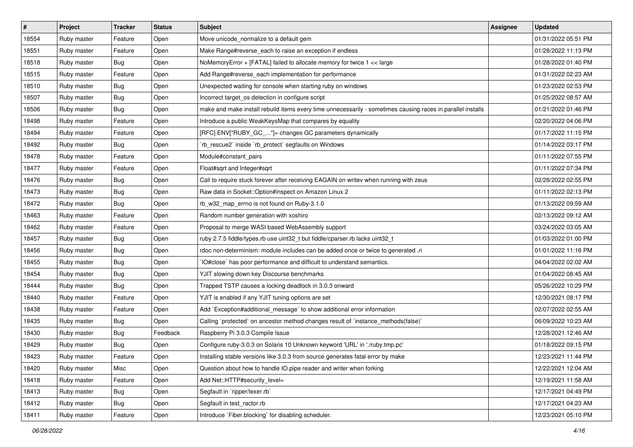| #     | <b>Project</b> | <b>Tracker</b> | <b>Status</b> | Subject                                                                                                     | <b>Assignee</b> | <b>Updated</b>      |
|-------|----------------|----------------|---------------|-------------------------------------------------------------------------------------------------------------|-----------------|---------------------|
| 18554 | Ruby master    | Feature        | Open          | Move unicode_normalize to a default gem                                                                     |                 | 01/31/2022 05:51 PM |
| 18551 | Ruby master    | Feature        | Open          | Make Range#reverse_each to raise an exception if endless                                                    |                 | 01/28/2022 11:13 PM |
| 18518 | Ruby master    | Bug            | Open          | NoMemoryError + [FATAL] failed to allocate memory for twice 1 << large                                      |                 | 01/28/2022 01:40 PM |
| 18515 | Ruby master    | Feature        | Open          | Add Range#reverse_each implementation for performance                                                       |                 | 01/31/2022 02:23 AM |
| 18510 | Ruby master    | <b>Bug</b>     | Open          | Unexpected waiting for console when starting ruby on windows                                                |                 | 01/23/2022 02:53 PM |
| 18507 | Ruby master    | <b>Bug</b>     | Open          | Incorrect target_os detection in configure script                                                           |                 | 01/25/2022 08:57 AM |
| 18506 | Ruby master    | Bug            | Open          | make and make install rebuild items every time unnecessarily - sometimes causing races in parallel installs |                 | 01/21/2022 01:46 PM |
| 18498 | Ruby master    | Feature        | Open          | Introduce a public WeakKeysMap that compares by equality                                                    |                 | 02/20/2022 04:06 PM |
| 18494 | Ruby master    | Feature        | Open          | [RFC] ENV["RUBY_GC_"]= changes GC parameters dynamically                                                    |                 | 01/17/2022 11:15 PM |
| 18492 | Ruby master    | <b>Bug</b>     | Open          | `rb_rescue2` inside `rb_protect` segfaults on Windows                                                       |                 | 01/14/2022 03:17 PM |
| 18478 | Ruby master    | Feature        | Open          | Module#constant pairs                                                                                       |                 | 01/11/2022 07:55 PM |
| 18477 | Ruby master    | Feature        | Open          | Float#sqrt and Integer#sqrt                                                                                 |                 | 01/11/2022 07:34 PM |
| 18476 | Ruby master    | <b>Bug</b>     | Open          | Call to require stuck forever after receiving EAGAIN on writev when running with zeus                       |                 | 02/28/2022 02:55 PM |
| 18473 | Ruby master    | <b>Bug</b>     | Open          | Raw data in Socket::Option#inspect on Amazon Linux 2                                                        |                 | 01/11/2022 02:13 PM |
| 18472 | Ruby master    | Bug            | Open          | rb_w32_map_errno is not found on Ruby-3.1.0                                                                 |                 | 01/13/2022 09:59 AM |
| 18463 | Ruby master    | Feature        | Open          | Random number generation with xoshiro                                                                       |                 | 02/13/2022 09:12 AM |
| 18462 | Ruby master    | Feature        | Open          | Proposal to merge WASI based WebAssembly support                                                            |                 | 03/24/2022 03:05 AM |
| 18457 | Ruby master    | <b>Bug</b>     | Open          | ruby 2.7.5 fiddle/types.rb use uint32_t but fiddle/cparser.rb lacks uint32_t                                |                 | 01/03/2022 01:00 PM |
| 18456 | Ruby master    | <b>Bug</b>     | Open          | rdoc non-determinism: module includes can be added once or twice to generated .ri                           |                 | 01/01/2022 11:16 PM |
| 18455 | Ruby master    | <b>Bug</b>     | Open          | 'IO#close' has poor performance and difficult to understand semantics.                                      |                 | 04/04/2022 02:02 AM |
| 18454 | Ruby master    | Bug            | Open          | YJIT slowing down key Discourse benchmarks                                                                  |                 | 01/04/2022 08:45 AM |
| 18444 | Ruby master    | <b>Bug</b>     | Open          | Trapped TSTP causes a locking deadlock in 3.0.3 onward                                                      |                 | 05/26/2022 10:29 PM |
| 18440 | Ruby master    | Feature        | Open          | YJIT is enabled if any YJIT tuning options are set                                                          |                 | 12/30/2021 08:17 PM |
| 18438 | Ruby master    | Feature        | Open          | Add `Exception#additional_message` to show additional error information                                     |                 | 02/07/2022 02:55 AM |
| 18435 | Ruby master    | <b>Bug</b>     | Open          | Calling `protected` on ancestor method changes result of `instance_methods(false)`                          |                 | 06/09/2022 10:23 AM |
| 18430 | Ruby master    | Bug            | Feedback      | Raspberry Pi 3.0.3 Compile Issue                                                                            |                 | 12/28/2021 12:46 AM |
| 18429 | Ruby master    | <b>Bug</b>     | Open          | Configure ruby-3.0.3 on Solaris 10 Unknown keyword 'URL' in './ruby.tmp.pc'                                 |                 | 01/18/2022 09:15 PM |
| 18423 | Ruby master    | Feature        | Open          | Installing stable versions like 3.0.3 from source generates fatal error by make                             |                 | 12/23/2021 11:44 PM |
| 18420 | Ruby master    | Misc           | Open          | Question about how to handle IO pipe reader and writer when forking                                         |                 | 12/22/2021 12:04 AM |
| 18418 | Ruby master    | Feature        | Open          | Add Net::HTTP#security_level=                                                                               |                 | 12/19/2021 11:58 AM |
| 18413 | Ruby master    | Bug            | Open          | Segfault in `ripper/lexer.rb`                                                                               |                 | 12/17/2021 04:49 PM |
| 18412 | Ruby master    | <b>Bug</b>     | Open          | Segfault in test_ractor.rb                                                                                  |                 | 12/17/2021 04:23 AM |
| 18411 | Ruby master    | Feature        | Open          | Introduce `Fiber.blocking` for disabling scheduler.                                                         |                 | 12/23/2021 05:10 PM |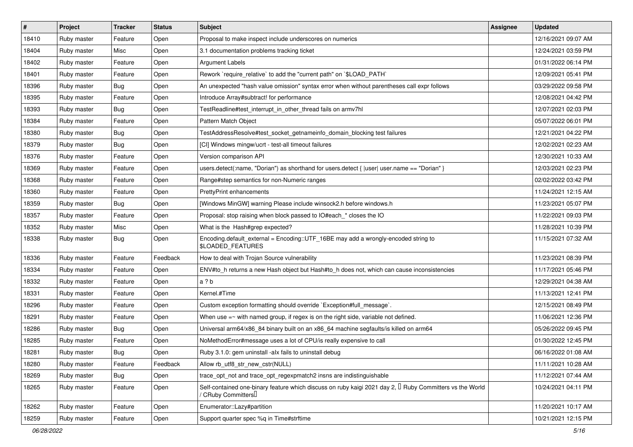| $\sharp$ | Project     | <b>Tracker</b> | <b>Status</b> | <b>Subject</b>                                                                                                                                    | <b>Assignee</b> | <b>Updated</b>      |
|----------|-------------|----------------|---------------|---------------------------------------------------------------------------------------------------------------------------------------------------|-----------------|---------------------|
| 18410    | Ruby master | Feature        | Open          | Proposal to make inspect include underscores on numerics                                                                                          |                 | 12/16/2021 09:07 AM |
| 18404    | Ruby master | Misc           | Open          | 3.1 documentation problems tracking ticket                                                                                                        |                 | 12/24/2021 03:59 PM |
| 18402    | Ruby master | Feature        | Open          | Argument Labels                                                                                                                                   |                 | 01/31/2022 06:14 PM |
| 18401    | Ruby master | Feature        | Open          | Rework `require_relative` to add the "current path" on `\$LOAD_PATH`                                                                              |                 | 12/09/2021 05:41 PM |
| 18396    | Ruby master | Bug            | Open          | An unexpected "hash value omission" syntax error when without parentheses call expr follows                                                       |                 | 03/29/2022 09:58 PM |
| 18395    | Ruby master | Feature        | Open          | Introduce Array#subtract! for performance                                                                                                         |                 | 12/08/2021 04:42 PM |
| 18393    | Ruby master | <b>Bug</b>     | Open          | TestReadline#test_interrupt_in_other_thread fails on armv7hl                                                                                      |                 | 12/07/2021 02:03 PM |
| 18384    | Ruby master | Feature        | Open          | Pattern Match Object                                                                                                                              |                 | 05/07/2022 06:01 PM |
| 18380    | Ruby master | Bug            | Open          | TestAddressResolve#test_socket_getnameinfo_domain_blocking test failures                                                                          |                 | 12/21/2021 04:22 PM |
| 18379    | Ruby master | Bug            | Open          | [CI] Windows mingw/ucrt - test-all timeout failures                                                                                               |                 | 12/02/2021 02:23 AM |
| 18376    | Ruby master | Feature        | Open          | Version comparison API                                                                                                                            |                 | 12/30/2021 10:33 AM |
| 18369    | Ruby master | Feature        | Open          | users.detect(:name, "Dorian") as shorthand for users.detect {  user  user.name == "Dorian" }                                                      |                 | 12/03/2021 02:23 PM |
| 18368    | Ruby master | Feature        | Open          | Range#step semantics for non-Numeric ranges                                                                                                       |                 | 02/02/2022 03:42 PM |
| 18360    | Ruby master | Feature        | Open          | <b>PrettyPrint enhancements</b>                                                                                                                   |                 | 11/24/2021 12:15 AM |
| 18359    | Ruby master | Bug            | Open          | [Windows MinGW] warning Please include winsock2.h before windows.h                                                                                |                 | 11/23/2021 05:07 PM |
| 18357    | Ruby master | Feature        | Open          | Proposal: stop raising when block passed to IO#each_* closes the IO                                                                               |                 | 11/22/2021 09:03 PM |
| 18352    | Ruby master | Misc           | Open          | What is the Hash#grep expected?                                                                                                                   |                 | 11/28/2021 10:39 PM |
| 18338    | Ruby master | Bug            | Open          | Encoding.default_external = Encoding::UTF_16BE may add a wrongly-encoded string to<br>\$LOADED_FEATURES                                           |                 | 11/15/2021 07:32 AM |
| 18336    | Ruby master | Feature        | Feedback      | How to deal with Trojan Source vulnerability                                                                                                      |                 | 11/23/2021 08:39 PM |
| 18334    | Ruby master | Feature        | Open          | ENV#to_h returns a new Hash object but Hash#to_h does not, which can cause inconsistencies                                                        |                 | 11/17/2021 05:46 PM |
| 18332    | Ruby master | Feature        | Open          | a ? b                                                                                                                                             |                 | 12/29/2021 04:38 AM |
| 18331    | Ruby master | Feature        | Open          | Kernel.#Time                                                                                                                                      |                 | 11/13/2021 12:41 PM |
| 18296    | Ruby master | Feature        | Open          | Custom exception formatting should override `Exception#full_message`.                                                                             |                 | 12/15/2021 08:49 PM |
| 18291    | Ruby master | Feature        | Open          | When use $=\sim$ with named group, if regex is on the right side, variable not defined.                                                           |                 | 11/06/2021 12:36 PM |
| 18286    | Ruby master | Bug            | Open          | Universal arm64/x86_84 binary built on an x86_64 machine segfaults/is killed on arm64                                                             |                 | 05/26/2022 09:45 PM |
| 18285    | Ruby master | Feature        | Open          | NoMethodError#message uses a lot of CPU/is really expensive to call                                                                               |                 | 01/30/2022 12:45 PM |
| 18281    | Ruby master | <b>Bug</b>     | Open          | Ruby 3.1.0: gem uninstall -alx fails to uninstall debug                                                                                           |                 | 06/16/2022 01:08 AM |
| 18280    | Ruby master | Feature        | Feedback      | Allow rb utf8 str new cstr(NULL)                                                                                                                  |                 | 11/11/2021 10:28 AM |
| 18269    | Ruby master | Bug            | Open          | trace_opt_not and trace_opt_regexpmatch2 insns are indistinguishable                                                                              |                 | 11/12/2021 07:44 AM |
| 18265    | Ruby master | Feature        | Open          | Self-contained one-binary feature which discuss on ruby kaigi 2021 day 2, $\Box$ Ruby Committers vs the World<br>/ CRuby Committers <sup>[]</sup> |                 | 10/24/2021 04:11 PM |
| 18262    | Ruby master | Feature        | Open          | Enumerator::Lazy#partition                                                                                                                        |                 | 11/20/2021 10:17 AM |
| 18259    | Ruby master | Feature        | Open          | Support quarter spec %q in Time#strftime                                                                                                          |                 | 10/21/2021 12:15 PM |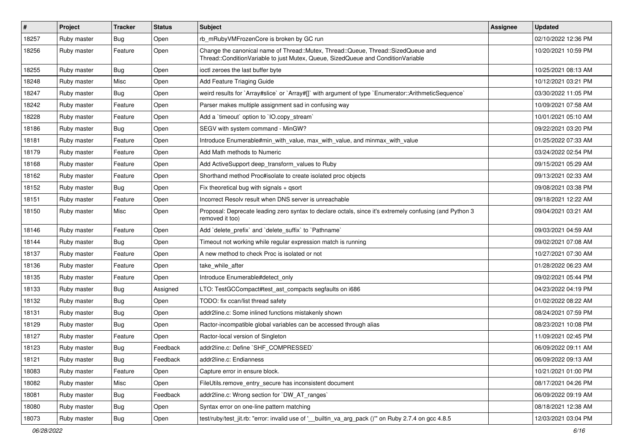| $\vert$ # | Project     | <b>Tracker</b> | <b>Status</b> | Subject                                                                                                                                                               | <b>Assignee</b> | <b>Updated</b>      |
|-----------|-------------|----------------|---------------|-----------------------------------------------------------------------------------------------------------------------------------------------------------------------|-----------------|---------------------|
| 18257     | Ruby master | Bug            | Open          | rb_mRubyVMFrozenCore is broken by GC run                                                                                                                              |                 | 02/10/2022 12:36 PM |
| 18256     | Ruby master | Feature        | Open          | Change the canonical name of Thread::Mutex, Thread::Queue, Thread::SizedQueue and<br>Thread::ConditionVariable to just Mutex, Queue, SizedQueue and ConditionVariable |                 | 10/20/2021 10:59 PM |
| 18255     | Ruby master | Bug            | Open          | ioctl zeroes the last buffer byte                                                                                                                                     |                 | 10/25/2021 08:13 AM |
| 18248     | Ruby master | Misc           | Open          | Add Feature Triaging Guide                                                                                                                                            |                 | 10/12/2021 03:21 PM |
| 18247     | Ruby master | Bug            | Open          | weird results for `Array#slice` or `Array#[]` with argument of type `Enumerator::ArithmeticSequence`                                                                  |                 | 03/30/2022 11:05 PM |
| 18242     | Ruby master | Feature        | Open          | Parser makes multiple assignment sad in confusing way                                                                                                                 |                 | 10/09/2021 07:58 AM |
| 18228     | Ruby master | Feature        | Open          | Add a 'timeout' option to 'IO.copy_stream'                                                                                                                            |                 | 10/01/2021 05:10 AM |
| 18186     | Ruby master | Bug            | Open          | SEGV with system command - MinGW?                                                                                                                                     |                 | 09/22/2021 03:20 PM |
| 18181     | Ruby master | Feature        | Open          | Introduce Enumerable#min_with_value, max_with_value, and minmax_with_value                                                                                            |                 | 01/25/2022 07:33 AM |
| 18179     | Ruby master | Feature        | Open          | Add Math methods to Numeric                                                                                                                                           |                 | 03/24/2022 02:54 PM |
| 18168     | Ruby master | Feature        | Open          | Add ActiveSupport deep_transform_values to Ruby                                                                                                                       |                 | 09/15/2021 05:29 AM |
| 18162     | Ruby master | Feature        | Open          | Shorthand method Proc#isolate to create isolated proc objects                                                                                                         |                 | 09/13/2021 02:33 AM |
| 18152     | Ruby master | Bug            | Open          | Fix theoretical bug with signals $+$ qsort                                                                                                                            |                 | 09/08/2021 03:38 PM |
| 18151     | Ruby master | Feature        | Open          | Incorrect Resolv result when DNS server is unreachable                                                                                                                |                 | 09/18/2021 12:22 AM |
| 18150     | Ruby master | Misc           | Open          | Proposal: Deprecate leading zero syntax to declare octals, since it's extremely confusing (and Python 3<br>removed it too)                                            |                 | 09/04/2021 03:21 AM |
| 18146     | Ruby master | Feature        | Open          | Add 'delete_prefix' and 'delete_suffix' to 'Pathname'                                                                                                                 |                 | 09/03/2021 04:59 AM |
| 18144     | Ruby master | Bug            | Open          | Timeout not working while regular expression match is running                                                                                                         |                 | 09/02/2021 07:08 AM |
| 18137     | Ruby master | Feature        | Open          | A new method to check Proc is isolated or not                                                                                                                         |                 | 10/27/2021 07:30 AM |
| 18136     | Ruby master | Feature        | Open          | take_while_after                                                                                                                                                      |                 | 01/28/2022 06:23 AM |
| 18135     | Ruby master | Feature        | Open          | Introduce Enumerable#detect only                                                                                                                                      |                 | 09/02/2021 05:44 PM |
| 18133     | Ruby master | Bug            | Assigned      | LTO: TestGCCompact#test_ast_compacts segfaults on i686                                                                                                                |                 | 04/23/2022 04:19 PM |
| 18132     | Ruby master | Bug            | Open          | TODO: fix ccan/list thread safety                                                                                                                                     |                 | 01/02/2022 08:22 AM |
| 18131     | Ruby master | <b>Bug</b>     | Open          | addr2line.c: Some inlined functions mistakenly shown                                                                                                                  |                 | 08/24/2021 07:59 PM |
| 18129     | Ruby master | Bug            | Open          | Ractor-incompatible global variables can be accessed through alias                                                                                                    |                 | 08/23/2021 10:08 PM |
| 18127     | Ruby master | Feature        | Open          | Ractor-local version of Singleton                                                                                                                                     |                 | 11/09/2021 02:45 PM |
| 18123     | Ruby master | <b>Bug</b>     | Feedback      | addr2line.c: Define `SHF_COMPRESSED`                                                                                                                                  |                 | 06/09/2022 09:11 AM |
| 18121     | Ruby master | Bug            | Feedback      | addr2line.c: Endianness                                                                                                                                               |                 | 06/09/2022 09:13 AM |
| 18083     | Ruby master | Feature        | Open          | Capture error in ensure block.                                                                                                                                        |                 | 10/21/2021 01:00 PM |
| 18082     | Ruby master | Misc           | Open          | FileUtils.remove_entry_secure has inconsistent document                                                                                                               |                 | 08/17/2021 04:26 PM |
| 18081     | Ruby master | Bug            | Feedback      | addr2line.c: Wrong section for `DW_AT_ranges`                                                                                                                         |                 | 06/09/2022 09:19 AM |
| 18080     | Ruby master | Bug            | Open          | Syntax error on one-line pattern matching                                                                                                                             |                 | 08/18/2021 12:38 AM |
| 18073     | Ruby master | <b>Bug</b>     | Open          | test/ruby/test_jit.rb: "error: invalid use of '__builtin_va_arg_pack ()"" on Ruby 2.7.4 on gcc 4.8.5                                                                  |                 | 12/03/2021 03:04 PM |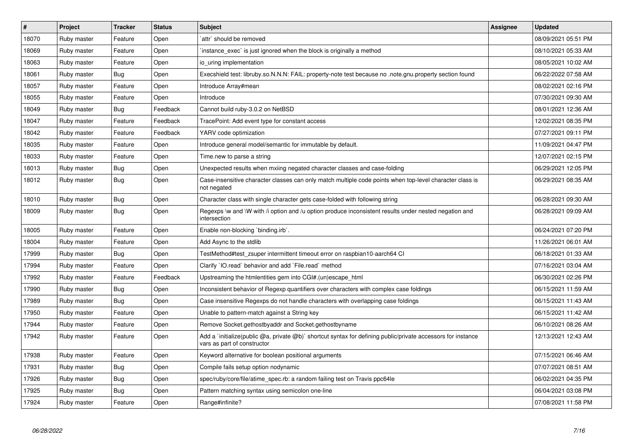| $\vert$ # | Project     | <b>Tracker</b> | <b>Status</b> | <b>Subject</b>                                                                                                                              | <b>Assignee</b> | <b>Updated</b>      |
|-----------|-------------|----------------|---------------|---------------------------------------------------------------------------------------------------------------------------------------------|-----------------|---------------------|
| 18070     | Ruby master | Feature        | Open          | attr` should be removed                                                                                                                     |                 | 08/09/2021 05:51 PM |
| 18069     | Ruby master | Feature        | Open          | instance_exec` is just ignored when the block is originally a method                                                                        |                 | 08/10/2021 05:33 AM |
| 18063     | Ruby master | Feature        | Open          | io uring implementation                                                                                                                     |                 | 08/05/2021 10:02 AM |
| 18061     | Ruby master | Bug            | Open          | Execshield test: libruby.so.N.N.N: FAIL: property-note test because no .note.gnu.property section found                                     |                 | 06/22/2022 07:58 AM |
| 18057     | Ruby master | Feature        | Open          | Introduce Array#mean                                                                                                                        |                 | 08/02/2021 02:16 PM |
| 18055     | Ruby master | Feature        | Open          | Introduce                                                                                                                                   |                 | 07/30/2021 09:30 AM |
| 18049     | Ruby master | Bug            | Feedback      | Cannot build ruby-3.0.2 on NetBSD                                                                                                           |                 | 08/01/2021 12:36 AM |
| 18047     | Ruby master | Feature        | Feedback      | TracePoint: Add event type for constant access                                                                                              |                 | 12/02/2021 08:35 PM |
| 18042     | Ruby master | Feature        | Feedback      | YARV code optimization                                                                                                                      |                 | 07/27/2021 09:11 PM |
| 18035     | Ruby master | Feature        | Open          | Introduce general model/semantic for immutable by default.                                                                                  |                 | 11/09/2021 04:47 PM |
| 18033     | Ruby master | Feature        | Open          | Time.new to parse a string                                                                                                                  |                 | 12/07/2021 02:15 PM |
| 18013     | Ruby master | Bug            | Open          | Unexpected results when mxiing negated character classes and case-folding                                                                   |                 | 06/29/2021 12:05 PM |
| 18012     | Ruby master | <b>Bug</b>     | Open          | Case-insensitive character classes can only match multiple code points when top-level character class is<br>not negated                     |                 | 06/29/2021 08:35 AM |
| 18010     | Ruby master | <b>Bug</b>     | Open          | Character class with single character gets case-folded with following string                                                                |                 | 06/28/2021 09:30 AM |
| 18009     | Ruby master | <b>Bug</b>     | Open          | Regexps \w and \W with /i option and /u option produce inconsistent results under nested negation and<br>intersection                       |                 | 06/28/2021 09:09 AM |
| 18005     | Ruby master | Feature        | Open          | Enable non-blocking `binding.irb`.                                                                                                          |                 | 06/24/2021 07:20 PM |
| 18004     | Ruby master | Feature        | Open          | Add Async to the stdlib                                                                                                                     |                 | 11/26/2021 06:01 AM |
| 17999     | Ruby master | <b>Bug</b>     | Open          | TestMethod#test_zsuper intermittent timeout error on raspbian10-aarch64 Cl                                                                  |                 | 06/18/2021 01:33 AM |
| 17994     | Ruby master | Feature        | Open          | Clarify `IO.read` behavior and add `File.read` method                                                                                       |                 | 07/16/2021 03:04 AM |
| 17992     | Ruby master | Feature        | Feedback      | Upstreaming the htmlentities gem into CGI#.(un)escape_html                                                                                  |                 | 06/30/2021 02:26 PM |
| 17990     | Ruby master | Bug            | Open          | Inconsistent behavior of Regexp quantifiers over characters with complex case foldings                                                      |                 | 06/15/2021 11:59 AM |
| 17989     | Ruby master | Bug            | Open          | Case insensitive Regexps do not handle characters with overlapping case foldings                                                            |                 | 06/15/2021 11:43 AM |
| 17950     | Ruby master | Feature        | Open          | Unable to pattern-match against a String key                                                                                                |                 | 06/15/2021 11:42 AM |
| 17944     | Ruby master | Feature        | Open          | Remove Socket.gethostbyaddr and Socket.gethostbyname                                                                                        |                 | 06/10/2021 08:26 AM |
| 17942     | Ruby master | Feature        | Open          | Add a `initialize(public @a, private @b)` shortcut syntax for defining public/private accessors for instance<br>vars as part of constructor |                 | 12/13/2021 12:43 AM |
| 17938     | Ruby master | Feature        | Open          | Keyword alternative for boolean positional arguments                                                                                        |                 | 07/15/2021 06:46 AM |
| 17931     | Ruby master | Bug            | Open          | Compile fails setup option nodynamic                                                                                                        |                 | 07/07/2021 08:51 AM |
| 17926     | Ruby master | Bug            | Open          | spec/ruby/core/file/atime spec.rb: a random failing test on Travis ppc64le                                                                  |                 | 06/02/2021 04:35 PM |
| 17925     | Ruby master | <b>Bug</b>     | Open          | Pattern matching syntax using semicolon one-line                                                                                            |                 | 06/04/2021 03:08 PM |
| 17924     | Ruby master | Feature        | Open          | Range#infinite?                                                                                                                             |                 | 07/08/2021 11:58 PM |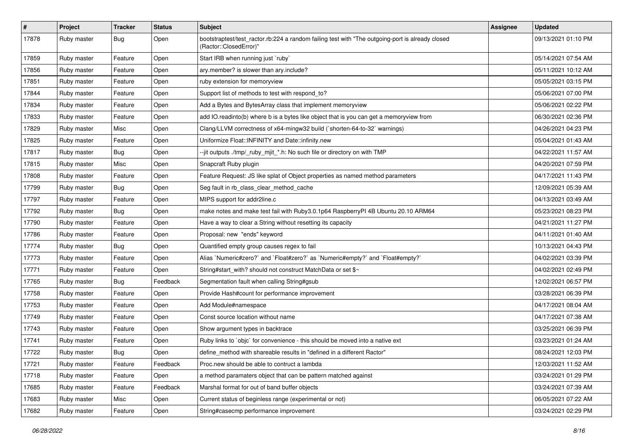| $\vert$ # | Project     | <b>Tracker</b> | <b>Status</b> | Subject                                                                                                                    | <b>Assignee</b> | <b>Updated</b>      |
|-----------|-------------|----------------|---------------|----------------------------------------------------------------------------------------------------------------------------|-----------------|---------------------|
| 17878     | Ruby master | Bug            | Open          | bootstraptest/test_ractor.rb:224 a random failing test with "The outgoing-port is already closed<br>(Ractor::ClosedError)" |                 | 09/13/2021 01:10 PM |
| 17859     | Ruby master | Feature        | Open          | Start IRB when running just `ruby`                                                                                         |                 | 05/14/2021 07:54 AM |
| 17856     | Ruby master | Feature        | Open          | ary.member? is slower than ary.include?                                                                                    |                 | 05/11/2021 10:12 AM |
| 17851     | Ruby master | Feature        | Open          | ruby extension for memoryview                                                                                              |                 | 05/05/2021 03:15 PM |
| 17844     | Ruby master | Feature        | Open          | Support list of methods to test with respond to?                                                                           |                 | 05/06/2021 07:00 PM |
| 17834     | Ruby master | Feature        | Open          | Add a Bytes and BytesArray class that implement memoryview                                                                 |                 | 05/06/2021 02:22 PM |
| 17833     | Ruby master | Feature        | Open          | add IO.readinto(b) where b is a bytes like object that is you can get a memoryview from                                    |                 | 06/30/2021 02:36 PM |
| 17829     | Ruby master | Misc           | Open          | Clang/LLVM correctness of x64-mingw32 build (`shorten-64-to-32` warnings)                                                  |                 | 04/26/2021 04:23 PM |
| 17825     | Ruby master | Feature        | Open          | Uniformize Float::INFINITY and Date::infinity.new                                                                          |                 | 05/04/2021 01:43 AM |
| 17817     | Ruby master | Bug            | Open          | --jit outputs ./tmp/_ruby_mjit_*.h: No such file or directory on with TMP                                                  |                 | 04/22/2021 11:57 AM |
| 17815     | Ruby master | Misc           | Open          | Snapcraft Ruby plugin                                                                                                      |                 | 04/20/2021 07:59 PM |
| 17808     | Ruby master | Feature        | Open          | Feature Request: JS like splat of Object properties as named method parameters                                             |                 | 04/17/2021 11:43 PM |
| 17799     | Ruby master | Bug            | Open          | Seg fault in rb_class_clear_method_cache                                                                                   |                 | 12/09/2021 05:39 AM |
| 17797     | Ruby master | Feature        | Open          | MIPS support for addr2line.c                                                                                               |                 | 04/13/2021 03:49 AM |
| 17792     | Ruby master | Bug            | Open          | make notes and make test fail with Ruby3.0.1p64 RaspberryPI 4B Ubuntu 20.10 ARM64                                          |                 | 05/23/2021 08:23 PM |
| 17790     | Ruby master | Feature        | Open          | Have a way to clear a String without resetting its capacity                                                                |                 | 04/21/2021 11:27 PM |
| 17786     | Ruby master | Feature        | Open          | Proposal: new "ends" keyword                                                                                               |                 | 04/11/2021 01:40 AM |
| 17774     | Ruby master | Bug            | Open          | Quantified empty group causes regex to fail                                                                                |                 | 10/13/2021 04:43 PM |
| 17773     | Ruby master | Feature        | Open          | Alias `Numeric#zero?` and `Float#zero?` as `Numeric#empty?` and `Float#empty?`                                             |                 | 04/02/2021 03:39 PM |
| 17771     | Ruby master | Feature        | Open          | String#start_with? should not construct MatchData or set \$~                                                               |                 | 04/02/2021 02:49 PM |
| 17765     | Ruby master | Bug            | Feedback      | Segmentation fault when calling String#gsub                                                                                |                 | 12/02/2021 06:57 PM |
| 17758     | Ruby master | Feature        | Open          | Provide Hash#count for performance improvement                                                                             |                 | 03/28/2021 06:39 PM |
| 17753     | Ruby master | Feature        | Open          | Add Module#namespace                                                                                                       |                 | 04/17/2021 08:04 AM |
| 17749     | Ruby master | Feature        | Open          | Const source location without name                                                                                         |                 | 04/17/2021 07:38 AM |
| 17743     | Ruby master | Feature        | Open          | Show argument types in backtrace                                                                                           |                 | 03/25/2021 06:39 PM |
| 17741     | Ruby master | Feature        | Open          | Ruby links to `objc` for convenience - this should be moved into a native ext                                              |                 | 03/23/2021 01:24 AM |
| 17722     | Ruby master | Bug            | Open          | define method with shareable results in "defined in a different Ractor"                                                    |                 | 08/24/2021 12:03 PM |
| 17721     | Ruby master | Feature        | Feedback      | Proc.new should be able to contruct a lambda                                                                               |                 | 12/03/2021 11:52 AM |
| 17718     | Ruby master | Feature        | Open          | a method paramaters object that can be pattern matched against                                                             |                 | 03/24/2021 01:29 PM |
| 17685     | Ruby master | Feature        | Feedback      | Marshal format for out of band buffer objects                                                                              |                 | 03/24/2021 07:39 AM |
| 17683     | Ruby master | Misc           | Open          | Current status of beginless range (experimental or not)                                                                    |                 | 06/05/2021 07:22 AM |
| 17682     | Ruby master | Feature        | Open          | String#casecmp performance improvement                                                                                     |                 | 03/24/2021 02:29 PM |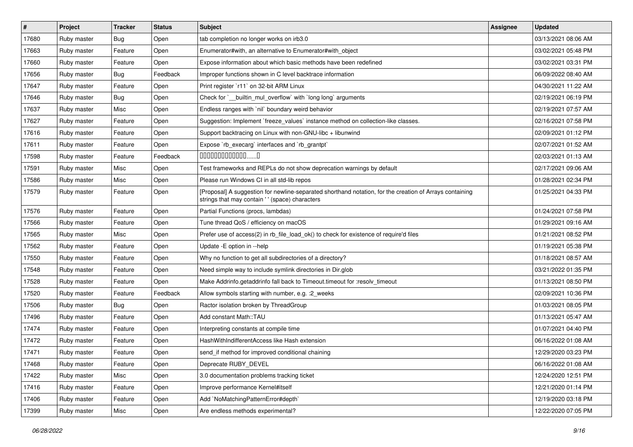| $\sharp$ | Project     | <b>Tracker</b> | <b>Status</b> | Subject                                                                                                                                                    | <b>Assignee</b> | <b>Updated</b>      |
|----------|-------------|----------------|---------------|------------------------------------------------------------------------------------------------------------------------------------------------------------|-----------------|---------------------|
| 17680    | Ruby master | <b>Bug</b>     | Open          | tab completion no longer works on irb3.0                                                                                                                   |                 | 03/13/2021 08:06 AM |
| 17663    | Ruby master | Feature        | Open          | Enumerator#with, an alternative to Enumerator#with_object                                                                                                  |                 | 03/02/2021 05:48 PM |
| 17660    | Ruby master | Feature        | Open          | Expose information about which basic methods have been redefined                                                                                           |                 | 03/02/2021 03:31 PM |
| 17656    | Ruby master | Bug            | Feedback      | Improper functions shown in C level backtrace information                                                                                                  |                 | 06/09/2022 08:40 AM |
| 17647    | Ruby master | Feature        | Open          | Print register `r11` on 32-bit ARM Linux                                                                                                                   |                 | 04/30/2021 11:22 AM |
| 17646    | Ruby master | Bug            | Open          | Check for `__builtin_mul_overflow` with `long long` arguments                                                                                              |                 | 02/19/2021 06:19 PM |
| 17637    | Ruby master | Misc           | Open          | Endless ranges with 'nil' boundary weird behavior                                                                                                          |                 | 02/19/2021 07:57 AM |
| 17627    | Ruby master | Feature        | Open          | Suggestion: Implement `freeze_values` instance method on collection-like classes.                                                                          |                 | 02/16/2021 07:58 PM |
| 17616    | Ruby master | Feature        | Open          | Support backtracing on Linux with non-GNU-libc + libunwind                                                                                                 |                 | 02/09/2021 01:12 PM |
| 17611    | Ruby master | Feature        | Open          | Expose `rb_execarg` interfaces and `rb_grantpt`                                                                                                            |                 | 02/07/2021 01:52 AM |
| 17598    | Ruby master | Feature        | Feedback      | 00000000000000                                                                                                                                             |                 | 02/03/2021 01:13 AM |
| 17591    | Ruby master | Misc           | Open          | Test frameworks and REPLs do not show deprecation warnings by default                                                                                      |                 | 02/17/2021 09:06 AM |
| 17586    | Ruby master | Misc           | Open          | Please run Windows CI in all std-lib repos                                                                                                                 |                 | 01/28/2021 02:34 PM |
| 17579    | Ruby master | Feature        | Open          | [Proposal] A suggestion for newline-separated shorthand notation, for the creation of Arrays containing<br>strings that may contain ' ' (space) characters |                 | 01/25/2021 04:33 PM |
| 17576    | Ruby master | Feature        | Open          | Partial Functions (procs, lambdas)                                                                                                                         |                 | 01/24/2021 07:58 PM |
| 17566    | Ruby master | Feature        | Open          | Tune thread QoS / efficiency on macOS                                                                                                                      |                 | 01/29/2021 09:16 AM |
| 17565    | Ruby master | Misc           | Open          | Prefer use of access(2) in rb_file_load_ok() to check for existence of require'd files                                                                     |                 | 01/21/2021 08:52 PM |
| 17562    | Ruby master | Feature        | Open          | Update - E option in --help                                                                                                                                |                 | 01/19/2021 05:38 PM |
| 17550    | Ruby master | Feature        | Open          | Why no function to get all subdirectories of a directory?                                                                                                  |                 | 01/18/2021 08:57 AM |
| 17548    | Ruby master | Feature        | Open          | Need simple way to include symlink directories in Dir.glob                                                                                                 |                 | 03/21/2022 01:35 PM |
| 17528    | Ruby master | Feature        | Open          | Make Addrinfo.getaddrinfo fall back to Timeout.timeout for :resolv_timeout                                                                                 |                 | 01/13/2021 08:50 PM |
| 17520    | Ruby master | Feature        | Feedback      | Allow symbols starting with number, e.g. : 2_weeks                                                                                                         |                 | 02/09/2021 10:36 PM |
| 17506    | Ruby master | <b>Bug</b>     | Open          | Ractor isolation broken by ThreadGroup                                                                                                                     |                 | 01/03/2021 08:05 PM |
| 17496    | Ruby master | Feature        | Open          | Add constant Math::TAU                                                                                                                                     |                 | 01/13/2021 05:47 AM |
| 17474    | Ruby master | Feature        | Open          | Interpreting constants at compile time                                                                                                                     |                 | 01/07/2021 04:40 PM |
| 17472    | Ruby master | Feature        | Open          | HashWithIndifferentAccess like Hash extension                                                                                                              |                 | 06/16/2022 01:08 AM |
| 17471    | Ruby master | Feature        | Open          | send_if method for improved conditional chaining                                                                                                           |                 | 12/29/2020 03:23 PM |
| 17468    | Ruby master | Feature        | Open          | Deprecate RUBY DEVEL                                                                                                                                       |                 | 06/16/2022 01:08 AM |
| 17422    | Ruby master | Misc           | Open          | 3.0 documentation problems tracking ticket                                                                                                                 |                 | 12/24/2020 12:51 PM |
| 17416    | Ruby master | Feature        | Open          | Improve performance Kernel#itself                                                                                                                          |                 | 12/21/2020 01:14 PM |
| 17406    | Ruby master | Feature        | Open          | Add `NoMatchingPatternError#depth`                                                                                                                         |                 | 12/19/2020 03:18 PM |
| 17399    | Ruby master | Misc           | Open          | Are endless methods experimental?                                                                                                                          |                 | 12/22/2020 07:05 PM |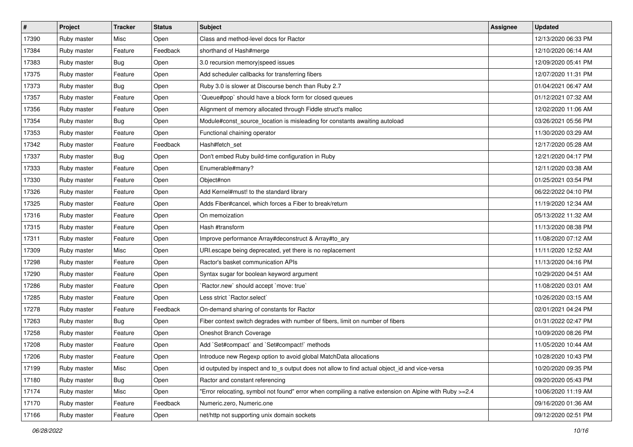| $\sharp$ | Project     | <b>Tracker</b> | <b>Status</b> | Subject                                                                                                | <b>Assignee</b> | <b>Updated</b>      |
|----------|-------------|----------------|---------------|--------------------------------------------------------------------------------------------------------|-----------------|---------------------|
| 17390    | Ruby master | Misc           | Open          | Class and method-level docs for Ractor                                                                 |                 | 12/13/2020 06:33 PM |
| 17384    | Ruby master | Feature        | Feedback      | shorthand of Hash#merge                                                                                |                 | 12/10/2020 06:14 AM |
| 17383    | Ruby master | Bug            | Open          | 3.0 recursion memory speed issues                                                                      |                 | 12/09/2020 05:41 PM |
| 17375    | Ruby master | Feature        | Open          | Add scheduler callbacks for transferring fibers                                                        |                 | 12/07/2020 11:31 PM |
| 17373    | Ruby master | Bug            | Open          | Ruby 3.0 is slower at Discourse bench than Ruby 2.7                                                    |                 | 01/04/2021 06:47 AM |
| 17357    | Ruby master | Feature        | Open          | Queue#pop` should have a block form for closed queues                                                  |                 | 01/12/2021 07:32 AM |
| 17356    | Ruby master | Feature        | Open          | Alignment of memory allocated through Fiddle struct's malloc                                           |                 | 12/02/2020 11:06 AM |
| 17354    | Ruby master | Bug            | Open          | Module#const_source_location is misleading for constants awaiting autoload                             |                 | 03/26/2021 05:56 PM |
| 17353    | Ruby master | Feature        | Open          | Functional chaining operator                                                                           |                 | 11/30/2020 03:29 AM |
| 17342    | Ruby master | Feature        | Feedback      | Hash#fetch_set                                                                                         |                 | 12/17/2020 05:28 AM |
| 17337    | Ruby master | <b>Bug</b>     | Open          | Don't embed Ruby build-time configuration in Ruby                                                      |                 | 12/21/2020 04:17 PM |
| 17333    | Ruby master | Feature        | Open          | Enumerable#many?                                                                                       |                 | 12/11/2020 03:38 AM |
| 17330    | Ruby master | Feature        | Open          | Object#non                                                                                             |                 | 01/25/2021 03:54 PM |
| 17326    | Ruby master | Feature        | Open          | Add Kernel#must! to the standard library                                                               |                 | 06/22/2022 04:10 PM |
| 17325    | Ruby master | Feature        | Open          | Adds Fiber#cancel, which forces a Fiber to break/return                                                |                 | 11/19/2020 12:34 AM |
| 17316    | Ruby master | Feature        | Open          | On memoization                                                                                         |                 | 05/13/2022 11:32 AM |
| 17315    | Ruby master | Feature        | Open          | Hash #transform                                                                                        |                 | 11/13/2020 08:38 PM |
| 17311    | Ruby master | Feature        | Open          | Improve performance Array#deconstruct & Array#to_ary                                                   |                 | 11/08/2020 07:12 AM |
| 17309    | Ruby master | Misc           | Open          | URI escape being deprecated, yet there is no replacement                                               |                 | 11/11/2020 12:52 AM |
| 17298    | Ruby master | Feature        | Open          | Ractor's basket communication APIs                                                                     |                 | 11/13/2020 04:16 PM |
| 17290    | Ruby master | Feature        | Open          | Syntax sugar for boolean keyword argument                                                              |                 | 10/29/2020 04:51 AM |
| 17286    | Ruby master | Feature        | Open          | 'Ractor.new' should accept 'move: true'                                                                |                 | 11/08/2020 03:01 AM |
| 17285    | Ruby master | Feature        | Open          | Less strict `Ractor.select`                                                                            |                 | 10/26/2020 03:15 AM |
| 17278    | Ruby master | Feature        | Feedback      | On-demand sharing of constants for Ractor                                                              |                 | 02/01/2021 04:24 PM |
| 17263    | Ruby master | <b>Bug</b>     | Open          | Fiber context switch degrades with number of fibers, limit on number of fibers                         |                 | 01/31/2022 02:47 PM |
| 17258    | Ruby master | Feature        | Open          | Oneshot Branch Coverage                                                                                |                 | 10/09/2020 08:26 PM |
| 17208    | Ruby master | Feature        | Open          | Add `Set#compact` and `Set#compact!` methods                                                           |                 | 11/05/2020 10:44 AM |
| 17206    | Ruby master | Feature        | Open          | Introduce new Regexp option to avoid global MatchData allocations                                      |                 | 10/28/2020 10:43 PM |
| 17199    | Ruby master | Misc           | Open          | id outputed by inspect and to s output does not allow to find actual object id and vice-versa          |                 | 10/20/2020 09:35 PM |
| 17180    | Ruby master | Bug            | Open          | Ractor and constant referencing                                                                        |                 | 09/20/2020 05:43 PM |
| 17174    | Ruby master | Misc           | Open          | "Error relocating, symbol not found" error when compiling a native extension on Alpine with Ruby >=2.4 |                 | 10/06/2020 11:19 AM |
| 17170    | Ruby master | Feature        | Feedback      | Numeric.zero, Numeric.one                                                                              |                 | 09/16/2020 01:36 AM |
| 17166    | Ruby master | Feature        | Open          | net/http not supporting unix domain sockets                                                            |                 | 09/12/2020 02:51 PM |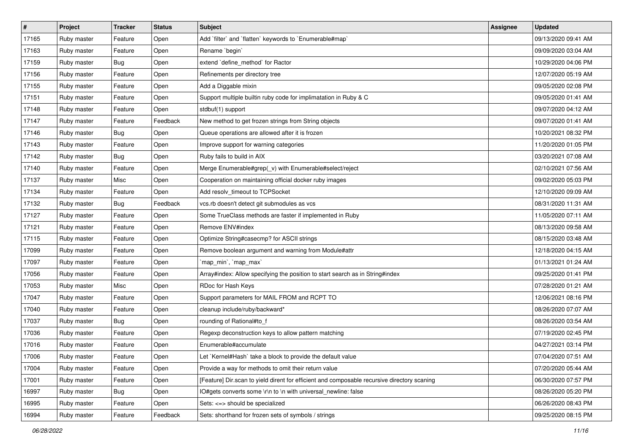| $\vert$ # | Project     | <b>Tracker</b> | <b>Status</b> | <b>Subject</b>                                                                              | <b>Assignee</b> | <b>Updated</b>      |
|-----------|-------------|----------------|---------------|---------------------------------------------------------------------------------------------|-----------------|---------------------|
| 17165     | Ruby master | Feature        | Open          | Add `filter` and `flatten` keywords to `Enumerable#map`                                     |                 | 09/13/2020 09:41 AM |
| 17163     | Ruby master | Feature        | Open          | Rename 'begin'                                                                              |                 | 09/09/2020 03:04 AM |
| 17159     | Ruby master | Bug            | Open          | extend 'define_method' for Ractor                                                           |                 | 10/29/2020 04:06 PM |
| 17156     | Ruby master | Feature        | Open          | Refinements per directory tree                                                              |                 | 12/07/2020 05:19 AM |
| 17155     | Ruby master | Feature        | Open          | Add a Diggable mixin                                                                        |                 | 09/05/2020 02:08 PM |
| 17151     | Ruby master | Feature        | Open          | Support multiple builtin ruby code for implimatation in Ruby & C                            |                 | 09/05/2020 01:41 AM |
| 17148     | Ruby master | Feature        | Open          | stdbuf(1) support                                                                           |                 | 09/07/2020 04:12 AM |
| 17147     | Ruby master | Feature        | Feedback      | New method to get frozen strings from String objects                                        |                 | 09/07/2020 01:41 AM |
| 17146     | Ruby master | Bug            | Open          | Queue operations are allowed after it is frozen                                             |                 | 10/20/2021 08:32 PM |
| 17143     | Ruby master | Feature        | Open          | Improve support for warning categories                                                      |                 | 11/20/2020 01:05 PM |
| 17142     | Ruby master | Bug            | Open          | Ruby fails to build in AIX                                                                  |                 | 03/20/2021 07:08 AM |
| 17140     | Ruby master | Feature        | Open          | Merge Enumerable#grep(_v) with Enumerable#select/reject                                     |                 | 02/10/2021 07:56 AM |
| 17137     | Ruby master | Misc           | Open          | Cooperation on maintaining official docker ruby images                                      |                 | 09/02/2020 05:03 PM |
| 17134     | Ruby master | Feature        | Open          | Add resolv_timeout to TCPSocket                                                             |                 | 12/10/2020 09:09 AM |
| 17132     | Ruby master | Bug            | Feedback      | vcs.rb doesn't detect git submodules as vcs                                                 |                 | 08/31/2020 11:31 AM |
| 17127     | Ruby master | Feature        | Open          | Some TrueClass methods are faster if implemented in Ruby                                    |                 | 11/05/2020 07:11 AM |
| 17121     | Ruby master | Feature        | Open          | Remove ENV#index                                                                            |                 | 08/13/2020 09:58 AM |
| 17115     | Ruby master | Feature        | Open          | Optimize String#casecmp? for ASCII strings                                                  |                 | 08/15/2020 03:48 AM |
| 17099     | Ruby master | Feature        | Open          | Remove boolean argument and warning from Module#attr                                        |                 | 12/18/2020 04:15 AM |
| 17097     | Ruby master | Feature        | Open          | 'map_min', 'map_max'                                                                        |                 | 01/13/2021 01:24 AM |
| 17056     | Ruby master | Feature        | Open          | Array#index: Allow specifying the position to start search as in String#index               |                 | 09/25/2020 01:41 PM |
| 17053     | Ruby master | Misc           | Open          | RDoc for Hash Keys                                                                          |                 | 07/28/2020 01:21 AM |
| 17047     | Ruby master | Feature        | Open          | Support parameters for MAIL FROM and RCPT TO                                                |                 | 12/06/2021 08:16 PM |
| 17040     | Ruby master | Feature        | Open          | cleanup include/ruby/backward*                                                              |                 | 08/26/2020 07:07 AM |
| 17037     | Ruby master | Bug            | Open          | rounding of Rational#to_f                                                                   |                 | 08/26/2020 03:54 AM |
| 17036     | Ruby master | Feature        | Open          | Regexp deconstruction keys to allow pattern matching                                        |                 | 07/19/2020 02:45 PM |
| 17016     | Ruby master | Feature        | Open          | Enumerable#accumulate                                                                       |                 | 04/27/2021 03:14 PM |
| 17006     | Ruby master | Feature        | Open          | Let `Kernel#Hash` take a block to provide the default value                                 |                 | 07/04/2020 07:51 AM |
| 17004     | Ruby master | Feature        | Open          | Provide a way for methods to omit their return value                                        |                 | 07/20/2020 05:44 AM |
| 17001     | Ruby master | Feature        | Open          | [Feature] Dir.scan to yield dirent for efficient and composable recursive directory scaning |                 | 06/30/2020 07:57 PM |
| 16997     | Ruby master | <b>Bug</b>     | Open          | IO#gets converts some \r\n to \n with universal newline: false                              |                 | 08/26/2020 05:20 PM |
| 16995     | Ruby master | Feature        | Open          | Sets: <=> should be specialized                                                             |                 | 06/26/2020 08:43 PM |
| 16994     | Ruby master | Feature        | Feedback      | Sets: shorthand for frozen sets of symbols / strings                                        |                 | 09/25/2020 08:15 PM |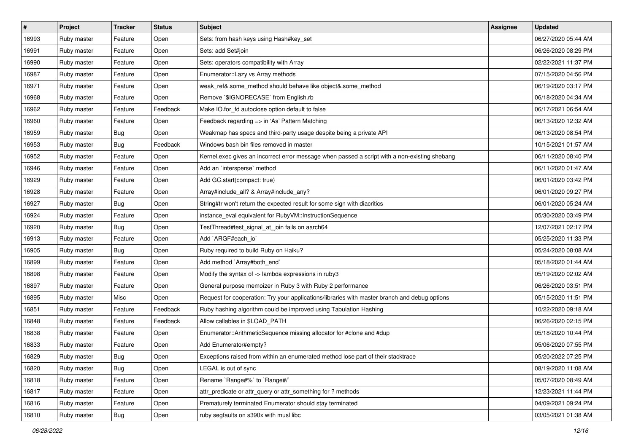| $\sharp$ | Project     | <b>Tracker</b>   | <b>Status</b> | Subject                                                                                       | <b>Assignee</b> | <b>Updated</b>      |
|----------|-------------|------------------|---------------|-----------------------------------------------------------------------------------------------|-----------------|---------------------|
| 16993    | Ruby master | Feature          | Open          | Sets: from hash keys using Hash#key_set                                                       |                 | 06/27/2020 05:44 AM |
| 16991    | Ruby master | Feature          | Open          | Sets: add Set#join                                                                            |                 | 06/26/2020 08:29 PM |
| 16990    | Ruby master | Feature          | Open          | Sets: operators compatibility with Array                                                      |                 | 02/22/2021 11:37 PM |
| 16987    | Ruby master | Feature          | Open          | Enumerator::Lazy vs Array methods                                                             |                 | 07/15/2020 04:56 PM |
| 16971    | Ruby master | Feature          | Open          | weak_ref&.some_method should behave like object&.some_method                                  |                 | 06/19/2020 03:17 PM |
| 16968    | Ruby master | Feature          | Open          | Remove `\$IGNORECASE` from English.rb                                                         |                 | 06/18/2020 04:34 AM |
| 16962    | Ruby master | Feature          | Feedback      | Make IO.for_fd autoclose option default to false                                              |                 | 06/17/2021 06:54 AM |
| 16960    | Ruby master | Feature          | Open          | Feedback regarding => in 'As' Pattern Matching                                                |                 | 06/13/2020 12:32 AM |
| 16959    | Ruby master | <b>Bug</b>       | Open          | Weakmap has specs and third-party usage despite being a private API                           |                 | 06/13/2020 08:54 PM |
| 16953    | Ruby master | Bug              | Feedback      | Windows bash bin files removed in master                                                      |                 | 10/15/2021 01:57 AM |
| 16952    | Ruby master | Feature          | Open          | Kernel.exec gives an incorrect error message when passed a script with a non-existing shebang |                 | 06/11/2020 08:40 PM |
| 16946    | Ruby master | Feature          | Open          | Add an `intersperse` method                                                                   |                 | 06/11/2020 01:47 AM |
| 16929    | Ruby master | Feature          | Open          | Add GC.start(compact: true)                                                                   |                 | 06/01/2020 03:42 PM |
| 16928    | Ruby master | Feature          | Open          | Array#include_all? & Array#include_any?                                                       |                 | 06/01/2020 09:27 PM |
| 16927    | Ruby master | Bug              | Open          | String#tr won't return the expected result for some sign with diacritics                      |                 | 06/01/2020 05:24 AM |
| 16924    | Ruby master | Feature          | Open          | instance_eval equivalent for RubyVM::InstructionSequence                                      |                 | 05/30/2020 03:49 PM |
| 16920    | Ruby master | <b>Bug</b>       | Open          | TestThread#test_signal_at_join fails on aarch64                                               |                 | 12/07/2021 02:17 PM |
| 16913    | Ruby master | Feature          | Open          | Add `ARGF#each_io`                                                                            |                 | 05/25/2020 11:33 PM |
| 16905    | Ruby master | <b>Bug</b>       | Open          | Ruby required to build Ruby on Haiku?                                                         |                 | 05/24/2020 08:08 AM |
| 16899    | Ruby master | Feature          | Open          | Add method `Array#both_end`                                                                   |                 | 05/18/2020 01:44 AM |
| 16898    | Ruby master | Feature          | Open          | Modify the syntax of -> lambda expressions in ruby3                                           |                 | 05/19/2020 02:02 AM |
| 16897    | Ruby master | Feature          | Open          | General purpose memoizer in Ruby 3 with Ruby 2 performance                                    |                 | 06/26/2020 03:51 PM |
| 16895    | Ruby master | Misc             | Open          | Request for cooperation: Try your applications/libraries with master branch and debug options |                 | 05/15/2020 11:51 PM |
| 16851    | Ruby master | Feature          | Feedback      | Ruby hashing algorithm could be improved using Tabulation Hashing                             |                 | 10/22/2020 09:18 AM |
| 16848    | Ruby master | Feature          | Feedback      | Allow callables in \$LOAD_PATH                                                                |                 | 06/26/2020 02:15 PM |
| 16838    | Ruby master | Feature          | Open          | Enumerator::ArithmeticSequence missing allocator for #clone and #dup                          |                 | 05/18/2020 10:44 PM |
| 16833    | Ruby master | Feature          | Open          | Add Enumerator#empty?                                                                         |                 | 05/06/2020 07:55 PM |
| 16829    | Ruby master | Bug              | Open          | Exceptions raised from within an enumerated method lose part of their stacktrace              |                 | 05/20/2022 07:25 PM |
| 16820    | Ruby master | Bug              | Open          | LEGAL is out of sync                                                                          |                 | 08/19/2020 11:08 AM |
| 16818    | Ruby master | Feature          | Open          | Rename `Range#%` to `Range#/`                                                                 |                 | 05/07/2020 08:49 AM |
| 16817    | Ruby master | Feature          | Open          | attr_predicate or attr_query or attr_something for ? methods                                  |                 | 12/23/2021 11:44 PM |
| 16816    | Ruby master | Feature          | Open          | Prematurely terminated Enumerator should stay terminated                                      |                 | 04/09/2021 09:24 PM |
| 16810    | Ruby master | <sub>I</sub> Bug | Open          | ruby segfaults on s390x with musl libc                                                        |                 | 03/05/2021 01:38 AM |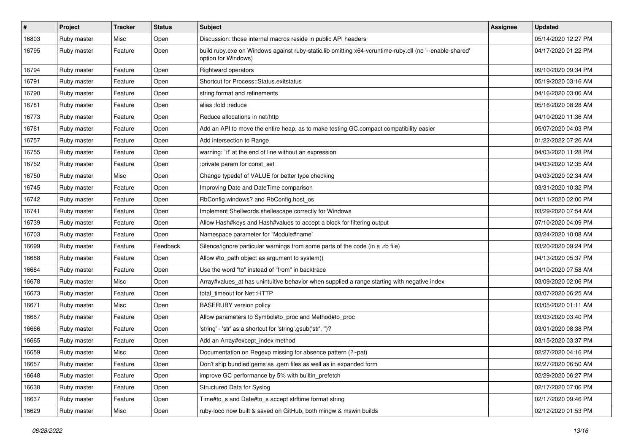| $\vert$ # | Project     | <b>Tracker</b> | <b>Status</b> | <b>Subject</b>                                                                                                                 | <b>Assignee</b> | <b>Updated</b>      |
|-----------|-------------|----------------|---------------|--------------------------------------------------------------------------------------------------------------------------------|-----------------|---------------------|
| 16803     | Ruby master | Misc           | Open          | Discussion: those internal macros reside in public API headers                                                                 |                 | 05/14/2020 12:27 PM |
| 16795     | Ruby master | Feature        | Open          | build ruby.exe on Windows against ruby-static.lib omitting x64-vcruntime-ruby.dll (no '--enable-shared'<br>option for Windows) |                 | 04/17/2020 01:22 PM |
| 16794     | Ruby master | Feature        | Open          | Rightward operators                                                                                                            |                 | 09/10/2020 09:34 PM |
| 16791     | Ruby master | Feature        | Open          | Shortcut for Process::Status.exitstatus                                                                                        |                 | 05/19/2020 03:16 AM |
| 16790     | Ruby master | Feature        | Open          | string format and refinements                                                                                                  |                 | 04/16/2020 03:06 AM |
| 16781     | Ruby master | Feature        | Open          | alias :fold :reduce                                                                                                            |                 | 05/16/2020 08:28 AM |
| 16773     | Ruby master | Feature        | Open          | Reduce allocations in net/http                                                                                                 |                 | 04/10/2020 11:36 AM |
| 16761     | Ruby master | Feature        | Open          | Add an API to move the entire heap, as to make testing GC.compact compatibility easier                                         |                 | 05/07/2020 04:03 PM |
| 16757     | Ruby master | Feature        | Open          | Add intersection to Range                                                                                                      |                 | 01/22/2022 07:26 AM |
| 16755     | Ruby master | Feature        | Open          | warning: `if' at the end of line without an expression                                                                         |                 | 04/03/2020 11:28 PM |
| 16752     | Ruby master | Feature        | Open          | :private param for const_set                                                                                                   |                 | 04/03/2020 12:35 AM |
| 16750     | Ruby master | Misc           | Open          | Change typedef of VALUE for better type checking                                                                               |                 | 04/03/2020 02:34 AM |
| 16745     | Ruby master | Feature        | Open          | Improving Date and DateTime comparison                                                                                         |                 | 03/31/2020 10:32 PM |
| 16742     | Ruby master | Feature        | Open          | RbConfig.windows? and RbConfig.host_os                                                                                         |                 | 04/11/2020 02:00 PM |
| 16741     | Ruby master | Feature        | Open          | Implement Shellwords.shellescape correctly for Windows                                                                         |                 | 03/29/2020 07:54 AM |
| 16739     | Ruby master | Feature        | Open          | Allow Hash#keys and Hash#values to accept a block for filtering output                                                         |                 | 07/10/2020 04:09 PM |
| 16703     | Ruby master | Feature        | Open          | Namespace parameter for `Module#name`                                                                                          |                 | 03/24/2020 10:08 AM |
| 16699     | Ruby master | Feature        | Feedback      | Silence/ignore particular warnings from some parts of the code (in a .rb file)                                                 |                 | 03/20/2020 09:24 PM |
| 16688     | Ruby master | Feature        | Open          | Allow #to_path object as argument to system()                                                                                  |                 | 04/13/2020 05:37 PM |
| 16684     | Ruby master | Feature        | Open          | Use the word "to" instead of "from" in backtrace                                                                               |                 | 04/10/2020 07:58 AM |
| 16678     | Ruby master | Misc           | Open          | Array#values_at has unintuitive behavior when supplied a range starting with negative index                                    |                 | 03/09/2020 02:06 PM |
| 16673     | Ruby master | Feature        | Open          | total_timeout for Net::HTTP                                                                                                    |                 | 03/07/2020 06:25 AM |
| 16671     | Ruby master | Misc           | Open          | <b>BASERUBY</b> version policy                                                                                                 |                 | 03/05/2020 01:11 AM |
| 16667     | Ruby master | Feature        | Open          | Allow parameters to Symbol#to_proc and Method#to_proc                                                                          |                 | 03/03/2020 03:40 PM |
| 16666     | Ruby master | Feature        | Open          | 'string' - 'str' as a shortcut for 'string'.gsub('str', ")?                                                                    |                 | 03/01/2020 08:38 PM |
| 16665     | Ruby master | Feature        | Open          | Add an Array#except_index method                                                                                               |                 | 03/15/2020 03:37 PM |
| 16659     | Ruby master | Misc           | Open          | Documentation on Regexp missing for absence pattern (?~pat)                                                                    |                 | 02/27/2020 04:16 PM |
| 16657     | Ruby master | Feature        | Open          | Don't ship bundled gems as .gem files as well as in expanded form                                                              |                 | 02/27/2020 06:50 AM |
| 16648     | Ruby master | Feature        | Open          | improve GC performance by 5% with builtin_prefetch                                                                             |                 | 02/29/2020 06:27 PM |
| 16638     | Ruby master | Feature        | Open          | Structured Data for Syslog                                                                                                     |                 | 02/17/2020 07:06 PM |
| 16637     | Ruby master | Feature        | Open          | Time#to_s and Date#to_s accept strftime format string                                                                          |                 | 02/17/2020 09:46 PM |
| 16629     | Ruby master | Misc           | Open          | ruby-loco now built & saved on GitHub, both mingw & mswin builds                                                               |                 | 02/12/2020 01:53 PM |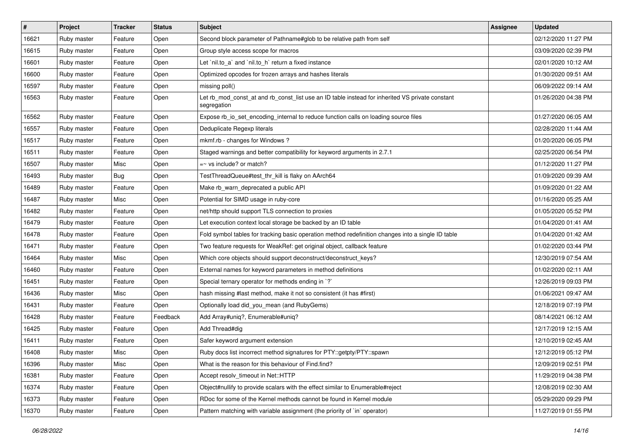| $\vert$ # | Project     | <b>Tracker</b> | <b>Status</b> | <b>Subject</b>                                                                                                 | <b>Assignee</b> | <b>Updated</b>      |
|-----------|-------------|----------------|---------------|----------------------------------------------------------------------------------------------------------------|-----------------|---------------------|
| 16621     | Ruby master | Feature        | Open          | Second block parameter of Pathname#glob to be relative path from self                                          |                 | 02/12/2020 11:27 PM |
| 16615     | Ruby master | Feature        | Open          | Group style access scope for macros                                                                            |                 | 03/09/2020 02:39 PM |
| 16601     | Ruby master | Feature        | Open          | Let `nil.to_a` and `nil.to_h` return a fixed instance                                                          |                 | 02/01/2020 10:12 AM |
| 16600     | Ruby master | Feature        | Open          | Optimized opcodes for frozen arrays and hashes literals                                                        |                 | 01/30/2020 09:51 AM |
| 16597     | Ruby master | Feature        | Open          | missing poll()                                                                                                 |                 | 06/09/2022 09:14 AM |
| 16563     | Ruby master | Feature        | Open          | Let rb_mod_const_at and rb_const_list use an ID table instead for inherited VS private constant<br>segregation |                 | 01/26/2020 04:38 PM |
| 16562     | Ruby master | Feature        | Open          | Expose rb_io_set_encoding_internal to reduce function calls on loading source files                            |                 | 01/27/2020 06:05 AM |
| 16557     | Ruby master | Feature        | Open          | Deduplicate Regexp literals                                                                                    |                 | 02/28/2020 11:44 AM |
| 16517     | Ruby master | Feature        | Open          | mkmf.rb - changes for Windows?                                                                                 |                 | 01/20/2020 06:05 PM |
| 16511     | Ruby master | Feature        | Open          | Staged warnings and better compatibility for keyword arguments in 2.7.1                                        |                 | 02/25/2020 06:54 PM |
| 16507     | Ruby master | Misc           | Open          | $=$ vs include? or match?                                                                                      |                 | 01/12/2020 11:27 PM |
| 16493     | Ruby master | Bug            | Open          | TestThreadQueue#test_thr_kill is flaky on AArch64                                                              |                 | 01/09/2020 09:39 AM |
| 16489     | Ruby master | Feature        | Open          | Make rb_warn_deprecated a public API                                                                           |                 | 01/09/2020 01:22 AM |
| 16487     | Ruby master | Misc           | Open          | Potential for SIMD usage in ruby-core                                                                          |                 | 01/16/2020 05:25 AM |
| 16482     | Ruby master | Feature        | Open          | net/http should support TLS connection to proxies                                                              |                 | 01/05/2020 05:52 PM |
| 16479     | Ruby master | Feature        | Open          | Let execution context local storage be backed by an ID table                                                   |                 | 01/04/2020 01:41 AM |
| 16478     | Ruby master | Feature        | Open          | Fold symbol tables for tracking basic operation method redefinition changes into a single ID table             |                 | 01/04/2020 01:42 AM |
| 16471     | Ruby master | Feature        | Open          | Two feature requests for WeakRef: get original object, callback feature                                        |                 | 01/02/2020 03:44 PM |
| 16464     | Ruby master | Misc           | Open          | Which core objects should support deconstruct/deconstruct_keys?                                                |                 | 12/30/2019 07:54 AM |
| 16460     | Ruby master | Feature        | Open          | External names for keyword parameters in method definitions                                                    |                 | 01/02/2020 02:11 AM |
| 16451     | Ruby master | Feature        | Open          | Special ternary operator for methods ending in `?`                                                             |                 | 12/26/2019 09:03 PM |
| 16436     | Ruby master | Misc           | Open          | hash missing #last method, make it not so consistent (it has #first)                                           |                 | 01/06/2021 09:47 AM |
| 16431     | Ruby master | Feature        | Open          | Optionally load did_you_mean (and RubyGems)                                                                    |                 | 12/18/2019 07:19 PM |
| 16428     | Ruby master | Feature        | Feedback      | Add Array#uniq?, Enumerable#uniq?                                                                              |                 | 08/14/2021 06:12 AM |
| 16425     | Ruby master | Feature        | Open          | Add Thread#dig                                                                                                 |                 | 12/17/2019 12:15 AM |
| 16411     | Ruby master | Feature        | Open          | Safer keyword argument extension                                                                               |                 | 12/10/2019 02:45 AM |
| 16408     | Ruby master | Misc           | Open          | Ruby docs list incorrect method signatures for PTY::getpty/PTY::spawn                                          |                 | 12/12/2019 05:12 PM |
| 16396     | Ruby master | Misc           | Open          | What is the reason for this behaviour of Find.find?                                                            |                 | 12/09/2019 02:51 PM |
| 16381     | Ruby master | Feature        | Open          | Accept resolv_timeout in Net::HTTP                                                                             |                 | 11/29/2019 04:38 PM |
| 16374     | Ruby master | Feature        | Open          | Object#nullify to provide scalars with the effect similar to Enumerable#reject                                 |                 | 12/08/2019 02:30 AM |
| 16373     | Ruby master | Feature        | Open          | RDoc for some of the Kernel methods cannot be found in Kernel module                                           |                 | 05/29/2020 09:29 PM |
| 16370     | Ruby master | Feature        | Open          | Pattern matching with variable assignment (the priority of `in` operator)                                      |                 | 11/27/2019 01:55 PM |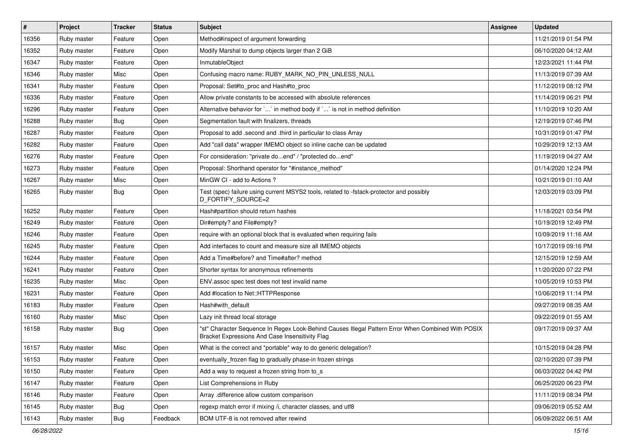| $\vert$ # | Project     | <b>Tracker</b> | <b>Status</b> | Subject                                                                                                                                               | <b>Assignee</b> | <b>Updated</b>      |
|-----------|-------------|----------------|---------------|-------------------------------------------------------------------------------------------------------------------------------------------------------|-----------------|---------------------|
| 16356     | Ruby master | Feature        | Open          | Method#inspect of argument forwarding                                                                                                                 |                 | 11/21/2019 01:54 PM |
| 16352     | Ruby master | Feature        | Open          | Modify Marshal to dump objects larger than 2 GiB                                                                                                      |                 | 06/10/2020 04:12 AM |
| 16347     | Ruby master | Feature        | Open          | InmutableObject                                                                                                                                       |                 | 12/23/2021 11:44 PM |
| 16346     | Ruby master | Misc           | Open          | Confusing macro name: RUBY MARK NO PIN UNLESS NULL                                                                                                    |                 | 11/13/2019 07:39 AM |
| 16341     | Ruby master | Feature        | Open          | Proposal: Set#to_proc and Hash#to_proc                                                                                                                |                 | 11/12/2019 08:12 PM |
| 16336     | Ruby master | Feature        | Open          | Allow private constants to be accessed with absolute references                                                                                       |                 | 11/14/2019 06:21 PM |
| 16296     | Ruby master | Feature        | Open          | Alternative behavior for `` in method body if `` is not in method definition                                                                          |                 | 11/10/2019 10:20 AM |
| 16288     | Ruby master | Bug            | Open          | Segmentation fault with finalizers, threads                                                                                                           |                 | 12/19/2019 07:46 PM |
| 16287     | Ruby master | Feature        | Open          | Proposal to add .second and .third in particular to class Array                                                                                       |                 | 10/31/2019 01:47 PM |
| 16282     | Ruby master | Feature        | Open          | Add "call data" wrapper IMEMO object so inline cache can be updated                                                                                   |                 | 10/29/2019 12:13 AM |
| 16276     | Ruby master | Feature        | Open          | For consideration: "private doend" / "protected doend"                                                                                                |                 | 11/19/2019 04:27 AM |
| 16273     | Ruby master | Feature        | Open          | Proposal: Shorthand operator for "#instance_method"                                                                                                   |                 | 01/14/2020 12:24 PM |
| 16267     | Ruby master | Misc           | Open          | MinGW CI - add to Actions ?                                                                                                                           |                 | 10/21/2019 01:10 AM |
| 16265     | Ruby master | Bug            | Open          | Test (spec) failure using current MSYS2 tools, related to -fstack-protector and possibly<br>D_FORTIFY_SOURCE=2                                        |                 | 12/03/2019 03:09 PM |
| 16252     | Ruby master | Feature        | Open          | Hash#partition should return hashes                                                                                                                   |                 | 11/18/2021 03:54 PM |
| 16249     | Ruby master | Feature        | Open          | Dir#empty? and File#empty?                                                                                                                            |                 | 10/19/2019 12:49 PM |
| 16246     | Ruby master | Feature        | Open          | require with an optional block that is evaluated when requiring fails                                                                                 |                 | 10/09/2019 11:16 AM |
| 16245     | Ruby master | Feature        | Open          | Add interfaces to count and measure size all IMEMO objects                                                                                            |                 | 10/17/2019 09:16 PM |
| 16244     | Ruby master | Feature        | Open          | Add a Time#before? and Time#after? method                                                                                                             |                 | 12/15/2019 12:59 AM |
| 16241     | Ruby master | Feature        | Open          | Shorter syntax for anonymous refinements                                                                                                              |                 | 11/20/2020 07:22 PM |
| 16235     | Ruby master | Misc           | Open          | ENV assoc spec test does not test invalid name                                                                                                        |                 | 10/05/2019 10:53 PM |
| 16231     | Ruby master | Feature        | Open          | Add #location to Net::HTTPResponse                                                                                                                    |                 | 10/06/2019 11:14 PM |
| 16183     | Ruby master | Feature        | Open          | Hash#with_default                                                                                                                                     |                 | 09/27/2019 08:35 AM |
| 16160     | Ruby master | Misc           | Open          | Lazy init thread local storage                                                                                                                        |                 | 09/22/2019 01:55 AM |
| 16158     | Ruby master | Bug            | Open          | "st" Character Sequence In Regex Look-Behind Causes Illegal Pattern Error When Combined With POSIX<br>Bracket Expressions And Case Insensitivity Flag |                 | 09/17/2019 09:37 AM |
| 16157     | Ruby master | Misc           | Open          | What is the correct and *portable* way to do generic delegation?                                                                                      |                 | 10/15/2019 04:28 PM |
| 16153     | Ruby master | Feature        | Open          | eventually_frozen flag to gradually phase-in frozen strings                                                                                           |                 | 02/10/2020 07:39 PM |
| 16150     | Ruby master | Feature        | Open          | Add a way to request a frozen string from to s                                                                                                        |                 | 06/03/2022 04:42 PM |
| 16147     | Ruby master | Feature        | Open          | List Comprehensions in Ruby                                                                                                                           |                 | 06/25/2020 06:23 PM |
| 16146     | Ruby master | Feature        | Open          | Array .difference allow custom comparison                                                                                                             |                 | 11/11/2019 08:34 PM |
| 16145     | Ruby master | <b>Bug</b>     | Open          | regexp match error if mixing /i, character classes, and utf8                                                                                          |                 | 09/06/2019 05:52 AM |
| 16143     | Ruby master | Bug            | Feedback      | BOM UTF-8 is not removed after rewind                                                                                                                 |                 | 06/09/2022 06:51 AM |